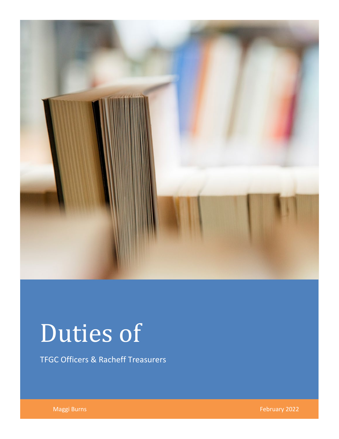

# Duties of

TFGC Officers & Racheff Treasurers

Maggi Burns February 2022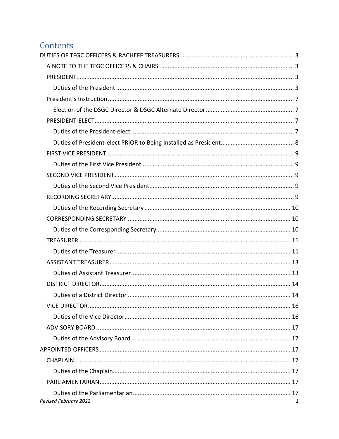# Contents

| Revised February 2022 | 1 |
|-----------------------|---|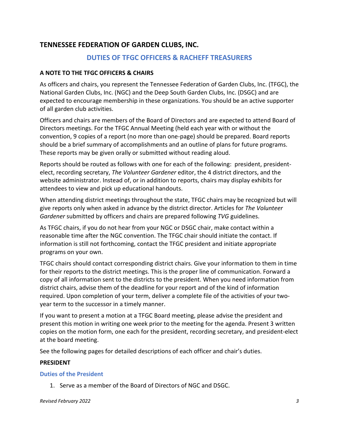# <span id="page-3-0"></span>**TENNESSEE FEDERATION OF GARDEN CLUBS, INC.**

# **DUTIES OF TFGC OFFICERS & RACHEFF TREASURERS**

#### <span id="page-3-1"></span>**A NOTE TO THE TFGC OFFICERS & CHAIRS**

As officers and chairs, you represent the Tennessee Federation of Garden Clubs, Inc. (TFGC), the National Garden Clubs, Inc. (NGC) and the Deep South Garden Clubs, Inc. (DSGC) and are expected to encourage membership in these organizations. You should be an active supporter of all garden club activities.

Officers and chairs are members of the Board of Directors and are expected to attend Board of Directors meetings. For the TFGC Annual Meeting (held each year with or without the convention, 9 copies of a report (no more than one-page) should be prepared. Board reports should be a brief summary of accomplishments and an outline of plans for future programs. These reports may be given orally or submitted without reading aloud.

Reports should be routed as follows with one for each of the following: president, presidentelect, recording secretary, *The Volunteer Gardener* editor, the 4 district directors, and the website administrator. Instead of, or in addition to reports, chairs may display exhibits for attendees to view and pick up educational handouts.

When attending district meetings throughout the state, TFGC chairs may be recognized but will give reports only when asked in advance by the district director. Articles for *The Volunteer Gardener* submitted by officers and chairs are prepared following *TVG* guidelines.

As TFGC chairs, if you do not hear from your NGC or DSGC chair, make contact within a reasonable time after the NGC convention. The TFGC chair should initiate the contact. If information is still not forthcoming, contact the TFGC president and initiate appropriate programs on your own.

TFGC chairs should contact corresponding district chairs. Give your information to them in time for their reports to the district meetings. This is the proper line of communication. Forward a copy of all information sent to the districts to the president. When you need information from district chairs, advise them of the deadline for your report and of the kind of information required. Upon completion of your term, deliver a complete file of the activities of your twoyear term to the successor in a timely manner.

If you want to present a motion at a TFGC Board meeting, please advise the president and present this motion in writing one week prior to the meeting for the agenda. Present 3 written copies on the motion form, one each for the president, recording secretary, and president-elect at the board meeting.

See the following pages for detailed descriptions of each officer and chair's duties.

#### <span id="page-3-2"></span>**PRESIDENT**

#### <span id="page-3-3"></span>**Duties of the President**

1. Serve as a member of the Board of Directors of NGC and DSGC.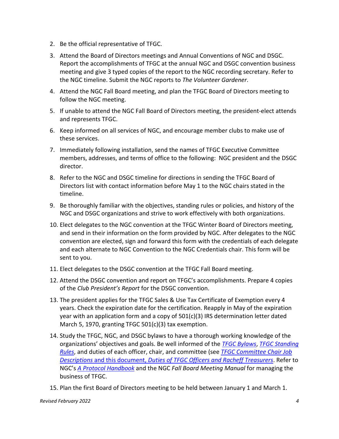- 2. Be the official representative of TFGC.
- 3. Attend the Board of Directors meetings and Annual Conventions of NGC and DSGC. Report the accomplishments of TFGC at the annual NGC and DSGC convention business meeting and give 3 typed copies of the report to the NGC recording secretary. Refer to the NGC timeline. Submit the NGC reports to *The Volunteer Gardener*.
- 4. Attend the NGC Fall Board meeting, and plan the TFGC Board of Directors meeting to follow the NGC meeting.
- 5. If unable to attend the NGC Fall Board of Directors meeting, the president-elect attends and represents TFGC.
- 6. Keep informed on all services of NGC, and encourage member clubs to make use of these services.
- 7. Immediately following installation, send the names of TFGC Executive Committee members, addresses, and terms of office to the following: NGC president and the DSGC director.
- 8. Refer to the NGC and DSGC timeline for directions in sending the TFGC Board of Directors list with contact information before May 1 to the NGC chairs stated in the timeline.
- 9. Be thoroughly familiar with the objectives, standing rules or policies, and history of the NGC and DSGC organizations and strive to work effectively with both organizations.
- 10. Elect delegates to the NGC convention at the TFGC Winter Board of Directors meeting, and send in their information on the form provided by NGC. After delegates to the NGC convention are elected, sign and forward this form with the credentials of each delegate and each alternate to NGC Convention to the NGC Credentials chair. This form will be sent to you.
- 11. Elect delegates to the DSGC convention at the TFGC Fall Board meeting.
- 12. Attend the DSGC convention and report on TFGC's accomplishments. Prepare 4 copies of the *Club President's Report* for the DSGC convention.
- 13. The president applies for the TFGC Sales & Use Tax Certificate of Exemption every 4 years. Check the expiration date for the certification. Reapply in May of the expiration year with an application form and a copy of 501(c)(3) IRS determination letter dated March 5, 1970, granting TFGC 501(c)(3) tax exemption.
- 14. Study the TFGC, NGC, and DSGC bylaws to have a thorough working knowledge of the organizations' objectives and goals. Be well informed of the *[TFGC Bylaws](https://www.tngardenclubs.org/wp-content/uploads/2021/03/Bylaws-2022-with-TFGC.pdf)*, *[TFGC Standing](https://www.tngardenclubs.org/wp-content/uploads/2021/03/TFGC-Standing-Rules-May-2022.pdf)  [Rules](https://www.tngardenclubs.org/wp-content/uploads/2021/03/TFGC-Standing-Rules-May-2022.pdf)*, and duties of each officer, chair, and committee (see *[TFGC Committee Chair Job](https://www.tngardenclubs.org/governance-docs/)  Descriptions* and this document, *[Duties of TFGC Officers and Racheff Treasurers](https://www.tngardenclubs.org/governance-docs/)*. Refer to NGC's *A Protocol Handbook* and the NGC *Fall Board Meeting Manual* for managing the business of TFGC.
- 15. Plan the first Board of Directors meeting to be held between January 1 and March 1.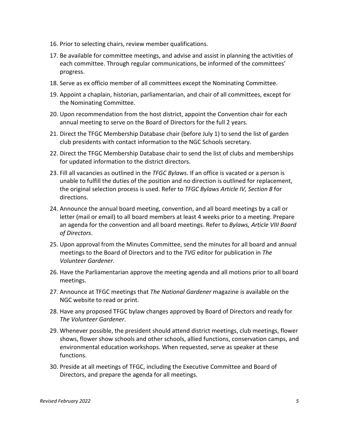- 16. Prior to selecting chairs, review member qualifications.
- 17. Be available for committee meetings, and advise and assist in planning the activities of each committee. Through regular communications, be informed of the committees' progress.
- 18. Serve as ex officio member of all committees except the Nominating Committee.
- 19. Appoint a chaplain, historian, parliamentarian, and chair of all committees, except for the Nominating Committee.
- 20. Upon recommendation from the host district, appoint the Convention chair for each annual meeting to serve on the Board of Directors for the full 2 years.
- 21. Direct the TFGC Membership Database chair (before July 1) to send the list of garden club presidents with contact information to the NGC Schools secretary*.*
- 22. Direct the TFGC Membership Database chair to send the list of clubs and memberships for updated information to the district directors.
- 23. Fill all vacancies as outlined in the *TFGC Bylaws*. If an office is vacated or a person is unable to fulfill the duties of the position and no direction is outlined for replacement, the original selection process is used. Refer to *TFGC Bylaws Article IV, Section 8* for directions.
- 24. Announce the annual board meeting, convention, and all board meetings by a call or letter (mail or email) to all board members at least 4 weeks prior to a meeting. Prepare an agenda for the convention and all board meetings. Refer to *Bylaws, Article VIII Board of Directors*.
- 25. Upon approval from the Minutes Committee, send the minutes for all board and annual meetings to the Board of Directors and to the *TVG* editor for publication in *The Volunteer Gardener.*
- 26. Have the Parliamentarian approve the meeting agenda and all motions prior to all board meetings.
- 27. Announce at TFGC meetings that *The National Gardener* magazine is available on the NGC website to read or print.
- 28. Have any proposed TFGC bylaw changes approved by Board of Directors and ready for *The Volunteer Gardener*.
- 29. Whenever possible, the president should attend district meetings, club meetings, flower shows, flower show schools and other schools, allied functions, conservation camps, and environmental education workshops. When requested, serve as speaker at these functions.
- 30. Preside at all meetings of TFGC, including the Executive Committee and Board of Directors, and prepare the agenda for all meetings.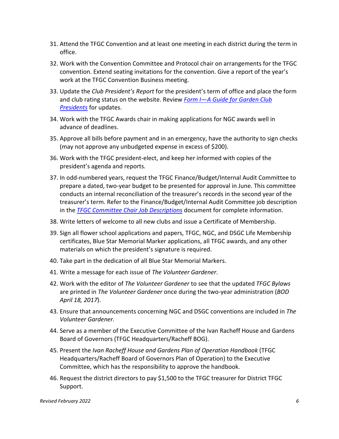- 31. Attend the TFGC Convention and at least one meeting in each district during the term in office.
- 32. Work with the Convention Committee and Protocol chair on arrangements for the TFGC convention. Extend seating invitations for the convention. Give a report of the year's work at the TFGC Convention Business meeting.
- 33. Update the *Club President's Report* for the president's term of office and place the form and club rating status on the website. Review *[Form I—A Guide for Garden Club](https://www.tngardenclubs.org/wp-content/uploads/2022/01/Form-I-Guide-for-Club-Presidents-1.pdf)  [Presidents](https://www.tngardenclubs.org/wp-content/uploads/2022/01/Form-I-Guide-for-Club-Presidents-1.pdf)* for updates.
- 34. Work with the TFGC Awards chair in making applications for NGC awards well in advance of deadlines.
- 35. Approve all bills before payment and in an emergency, have the authority to sign checks (may not approve any unbudgeted expense in excess of \$200).
- 36. Work with the TFGC president-elect, and keep her informed with copies of the president's agenda and reports.
- 37. In odd-numbered years, request the TFGC Finance/Budget/Internal Audit Committee to prepare a dated, two-year budget to be presented for approval in June. This committee conducts an internal reconciliation of the treasurer's records in the second year of the treasurer's term. Refer to the Finance/Budget/Internal Audit Committee job description in the *[TFGC Committee Chair Job Descriptions](https://www.tngardenclubs.org/governance-docs/)* document for complete information.
- 38. Write letters of welcome to all new clubs and issue a Certificate of Membership.
- 39. Sign all flower school applications and papers, TFGC, NGC, and DSGC Life Membership certificates, Blue Star Memorial Marker applications, all TFGC awards, and any other materials on which the president's signature is required.
- 40. Take part in the dedication of all Blue Star Memorial Markers.
- 41. Write a message for each issue of *The Volunteer Gardener*.
- 42. Work with the editor of *The Volunteer Gardener* to see that the updated *TFGC Bylaws* are printed in *The Volunteer Gardener* once during the two-year administration (*BOD April 18, 2017*).
- 43. Ensure that announcements concerning NGC and DSGC conventions are included in *The Volunteer Gardener.*
- 44. Serve as a member of the Executive Committee of the Ivan Racheff House and Gardens Board of Governors (TFGC Headquarters/Racheff BOG).
- 45. Present the *Ivan Racheff House and Gardens Plan of Operation Handbook* (TFGC Headquarters/Racheff Board of Governors Plan of Operation) to the Executive Committee, which has the responsibility to approve the handbook.
- 46. Request the district directors to pay \$1,500 to the TFGC treasurer for District TFGC Support.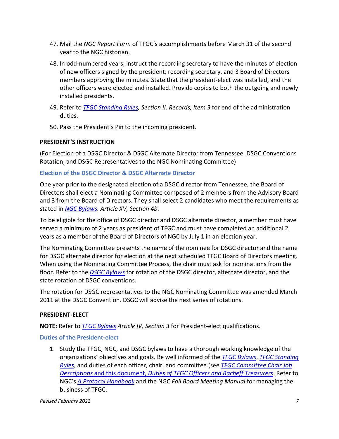- 47. Mail the *NGC Report Form* of TFGC's accomplishments before March 31 of the second year to the NGC historian.
- 48. In odd-numbered years, instruct the recording secretary to have the minutes of election of new officers signed by the president, recording secretary, and 3 Board of Directors members approving the minutes. State that the president-elect was installed, and the other officers were elected and installed. Provide copies to both the outgoing and newly installed presidents.
- 49. Refer to *TFGC [Standing Rules,](https://www.tngardenclubs.org/wp-content/uploads/2021/03/TFGC-Standing-Rules-May-2022.pdf) Section II. Records, Item 3* for end of the administration duties.
- 50. Pass the President's Pin to the incoming president.

# <span id="page-7-0"></span>**PRESIDENT'S INSTRUCTION**

(For Election of a DSGC Director & DSGC Alternate Director from Tennessee, DSGC Conventions Rotation, and DSGC Representatives to the NGC Nominating Committee)

## <span id="page-7-1"></span>**Election of the DSGC Director & DSGC Alternate Director**

One year prior to the designated election of a DSGC director from Tennessee, the Board of Directors shall elect a Nominating Committee composed of 2 members from the Advisory Board and 3 from the Board of Directors. They shall select 2 candidates who meet the requirements as stated in *[NGC Bylaws,](https://gardenclub.org/bylaws-and-standing-rules) Article XV, Section 4b*.

To be eligible for the office of DSGC director and DSGC alternate director, a member must have served a minimum of 2 years as president of TFGC and must have completed an additional 2 years as a member of the Board of Directors of NGC by July 1 in an election year.

The Nominating Committee presents the name of the nominee for DSGC director and the name for DSGC alternate director for election at the next scheduled TFGC Board of Directors meeting. When using the Nominating Committee Process, the chair must ask for nominations from the floor. Refer to the *[DSGC Bylaws](http://www.dsgardenclubs.com/p/bylaws-of-deep-south-garden-clubs.html)* for rotation of the DSGC director, alternate director, and the state rotation of DSGC conventions.

The rotation for DSGC representatives to the NGC Nominating Committee was amended March 2011 at the DSGC Convention. DSGC will advise the next series of rotations.

#### <span id="page-7-2"></span>**PRESIDENT-ELECT**

**NOTE:** Refer to *TFGC [Bylaws](https://www.tngardenclubs.org/wp-content/uploads/2021/03/Bylaws-2022-with-TFGC.pdf) Article IV, Section 3* for President-elect qualifications.

# <span id="page-7-3"></span>**Duties of the President-elect**

1. Study the TFGC, NGC, and DSGC bylaws to have a thorough working knowledge of the organizations' objectives and goals. Be well informed of the *[TFGC Bylaws](https://www.tngardenclubs.org/wp-content/uploads/2021/03/Bylaws-2022-with-TFGC.pdf)*, *[TFGC Standing](https://www.tngardenclubs.org/wp-content/uploads/2021/03/TFGC-Standing-Rules-May-2022.pdf)  [Rules](https://www.tngardenclubs.org/wp-content/uploads/2021/03/TFGC-Standing-Rules-May-2022.pdf)*, and duties of each officer, chair, and committee (see *[TFGC Committee Chair Job](https://www.tngardenclubs.org/governance-docs/)  Descriptions* and this document, *[Duties of TFGC Officers and Racheff Treasurers](https://www.tngardenclubs.org/governance-docs/)*. Refer to NGC's *A Protocol Handbook* and the NGC *Fall Board Meeting Manual* for managing the business of TFGC.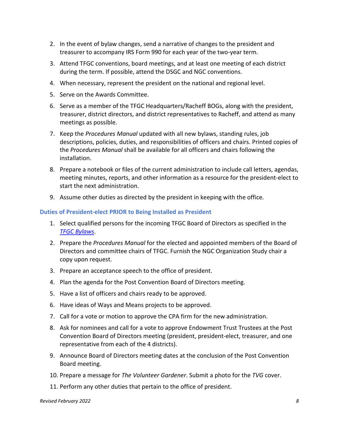- 2. In the event of bylaw changes, send a narrative of changes to the president and treasurer to accompany IRS Form 990 for each year of the two-year term.
- 3. Attend TFGC conventions, board meetings, and at least one meeting of each district during the term. If possible, attend the DSGC and NGC conventions.
- 4. When necessary, represent the president on the national and regional level.
- 5. Serve on the Awards Committee.
- 6. Serve as a member of the TFGC Headquarters/Racheff BOGs, along with the president, treasurer, district directors, and district representatives to Racheff, and attend as many meetings as possible.
- 7. Keep the *Procedures Manual* updated with all new bylaws, standing rules, job descriptions, policies, duties, and responsibilities of officers and chairs. Printed copies of the *Procedures Manual* shall be available for all officers and chairs following the installation.
- 8. Prepare a notebook or files of the current administration to include call letters, agendas, meeting minutes, reports, and other information as a resource for the president-elect to start the next administration.
- 9. Assume other duties as directed by the president in keeping with the office.

#### <span id="page-8-0"></span>**Duties of President-elect PRIOR to Being Installed as President**

- 1. Select qualified persons for the incoming TFGC Board of Directors as specified in the *[TFGC Bylaws](https://www.tngardenclubs.org/wp-content/uploads/2021/03/Bylaws-2022-with-TFGC.pdf)*.
- 2. Prepare the *Procedures Manual* for the elected and appointed members of the Board of Directors and committee chairs of TFGC. Furnish the NGC Organization Study chair a copy upon request.
- 3. Prepare an acceptance speech to the office of president.
- 4. Plan the agenda for the Post Convention Board of Directors meeting.
- 5. Have a list of officers and chairs ready to be approved.
- 6. Have ideas of Ways and Means projects to be approved.
- 7. Call for a vote or motion to approve the CPA firm for the new administration.
- 8. Ask for nominees and call for a vote to approve Endowment Trust Trustees at the Post Convention Board of Directors meeting (president, president-elect, treasurer, and one representative from each of the 4 districts).
- 9. Announce Board of Directors meeting dates at the conclusion of the Post Convention Board meeting.
- 10. Prepare a message for *The Volunteer Gardener*. Submit a photo for the *TVG* cover.
- 11. Perform any other duties that pertain to the office of president.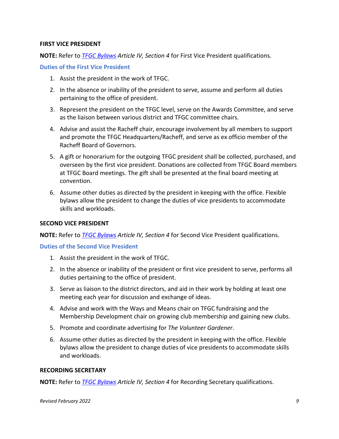#### <span id="page-9-0"></span>**FIRST VICE PRESIDENT**

**NOTE:** Refer to *TFGC [Bylaws](https://www.tngardenclubs.org/wp-content/uploads/2021/03/Bylaws-2022-with-TFGC.pdf) Article IV, Section 4* for First Vice President qualifications.

#### <span id="page-9-1"></span>**Duties of the First Vice President**

- 1. Assist the president in the work of TFGC.
- 2. In the absence or inability of the president to serve, assume and perform all duties pertaining to the office of president.
- 3. Represent the president on the TFGC level, serve on the Awards Committee, and serve as the liaison between various district and TFGC committee chairs.
- 4. Advise and assist the Racheff chair, encourage involvement by all members to support and promote the TFGC Headquarters/Racheff, and serve as ex officio member of the Racheff Board of Governors.
- 5. A gift or honorarium for the outgoing TFGC president shall be collected, purchased, and overseen by the first vice president. Donations are collected from TFGC Board members at TFGC Board meetings. The gift shall be presented at the final board meeting at convention.
- 6. Assume other duties as directed by the president in keeping with the office. Flexible bylaws allow the president to change the duties of vice presidents to accommodate skills and workloads.

#### <span id="page-9-2"></span>**SECOND VICE PRESIDENT**

**NOTE:** Refer to *TFGC [Bylaws](https://www.tngardenclubs.org/wp-content/uploads/2021/03/Bylaws-2022-with-TFGC.pdf) Article IV, Section 4* for Second Vice President qualifications.

#### <span id="page-9-3"></span>**Duties of the Second Vice President**

- 1. Assist the president in the work of TFGC.
- 2. In the absence or inability of the president or first vice president to serve, performs all duties pertaining to the office of president.
- 3. Serve as liaison to the district directors, and aid in their work by holding at least one meeting each year for discussion and exchange of ideas.
- 4. Advise and work with the Ways and Means chair on TFGC fundraising and the Membership Development chair on growing club membership and gaining new clubs.
- 5. Promote and coordinate advertising for *The Volunteer Gardener*.
- 6. Assume other duties as directed by the president in keeping with the office. Flexible bylaws allow the president to change duties of vice presidents to accommodate skills and workloads.

#### <span id="page-9-4"></span>**RECORDING SECRETARY**

**NOTE:** Refer to *TFGC [Bylaws](https://www.tngardenclubs.org/wp-content/uploads/2021/03/Bylaws-2022-with-TFGC.pdf) Article IV, Section 4* for Recording Secretary qualifications.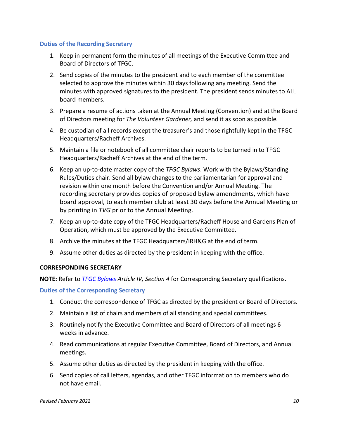#### <span id="page-10-0"></span>**Duties of the Recording Secretary**

- 1. Keep in permanent form the minutes of all meetings of the Executive Committee and Board of Directors of TFGC.
- 2. Send copies of the minutes to the president and to each member of the committee selected to approve the minutes within 30 days following any meeting. Send the minutes with approved signatures to the president. The president sends minutes to ALL board members.
- 3. Prepare a resume of actions taken at the Annual Meeting (Convention) and at the Board of Directors meeting for *The Volunteer Gardener,* and send it as soon as possible*.*
- 4. Be custodian of all records except the treasurer's and those rightfully kept in the TFGC Headquarters/Racheff Archives.
- 5. Maintain a file or notebook of all committee chair reports to be turned in to TFGC Headquarters/Racheff Archives at the end of the term.
- 6. Keep an up-to-date master copy of the *TFGC Bylaws*. Work with the Bylaws/Standing Rules/Duties chair. Send all bylaw changes to the parliamentarian for approval and revision within one month before the Convention and/or Annual Meeting. The recording secretary provides copies of proposed bylaw amendments, which have board approval, to each member club at least 30 days before the Annual Meeting or by printing in *TVG* prior to the Annual Meeting.
- 7. Keep an up-to-date copy of the TFGC Headquarters/Racheff House and Gardens Plan of Operation, which must be approved by the Executive Committee.
- 8. Archive the minutes at the TFGC Headquarters/IRH&G at the end of term.
- 9. Assume other duties as directed by the president in keeping with the office.

#### <span id="page-10-1"></span>**CORRESPONDING SECRETARY**

**NOTE:** Refer to *TFGC [Bylaws](https://www.tngardenclubs.org/wp-content/uploads/2021/03/Bylaws-2022-with-TFGC.pdf) Article IV, Section 4* for Corresponding Secretary qualifications.

<span id="page-10-2"></span>**Duties of the Corresponding Secretary**

- 1. Conduct the correspondence of TFGC as directed by the president or Board of Directors.
- 2. Maintain a list of chairs and members of all standing and special committees.
- 3. Routinely notify the Executive Committee and Board of Directors of all meetings 6 weeks in advance.
- 4. Read communications at regular Executive Committee, Board of Directors, and Annual meetings.
- 5. Assume other duties as directed by the president in keeping with the office.
- 6. Send copies of call letters, agendas, and other TFGC information to members who do not have email.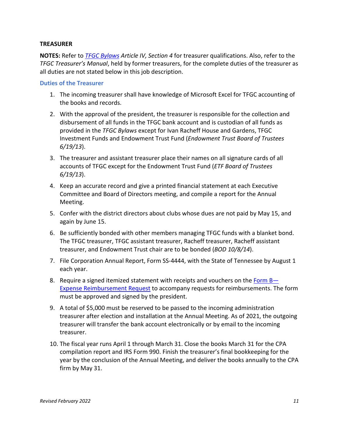#### <span id="page-11-0"></span>**TREASURER**

**NOTES:** Refer to *TFGC [Bylaws](https://www.tngardenclubs.org/wp-content/uploads/2021/03/Bylaws-2022-with-TFGC.pdf) Article IV, Section 4* for treasurer qualifications. Also, refer to the *TFGC Treasurer's Manual*, held by former treasurers, for the complete duties of the treasurer as all duties are not stated below in this job description.

#### <span id="page-11-1"></span>**Duties of the Treasurer**

- 1. The incoming treasurer shall have knowledge of Microsoft Excel for TFGC accounting of the books and records.
- 2. With the approval of the president, the treasurer is responsible for the collection and disbursement of all funds in the TFGC bank account and is custodian of all funds as provided in the *TFGC Bylaws* except for Ivan Racheff House and Gardens, TFGC Investment Funds and Endowment Trust Fund (*Endowment Trust Board of Trustees 6/19/13*).
- 3. The treasurer and assistant treasurer place their names on all signature cards of all accounts of TFGC except for the Endowment Trust Fund (*ETF Board of Trustees 6/19/13*).
- 4. Keep an accurate record and give a printed financial statement at each Executive Committee and Board of Directors meeting, and compile a report for the Annual Meeting.
- 5. Confer with the district directors about clubs whose dues are not paid by May 15, and again by June 15.
- 6. Be sufficiently bonded with other members managing TFGC funds with a blanket bond. The TFGC treasurer, TFGC assistant treasurer, Racheff treasurer, Racheff assistant treasurer, and Endowment Trust chair are to be bonded (*BOD 10/8/14*).
- 7. File Corporation Annual Report, Form SS-4444, with the State of Tennessee by August 1 each year.
- 8. Require a signed itemized statement with receipts and vouchers on the Form B-[Expense Reimbursement Request](https://www.tngardenclubs.org/wp-content/uploads/2022/01/Form-B-Expense-Reimbursement-Request-1.pdf) to accompany requests for reimbursements. The form must be approved and signed by the president.
- 9. A total of \$5,000 must be reserved to be passed to the incoming administration treasurer after election and installation at the Annual Meeting. As of 2021, the outgoing treasurer will transfer the bank account electronically or by email to the incoming treasurer.
- 10. The fiscal year runs April 1 through March 31. Close the books March 31 for the CPA compilation report and IRS Form 990. Finish the treasurer's final bookkeeping for the year by the conclusion of the Annual Meeting, and deliver the books annually to the CPA firm by May 31.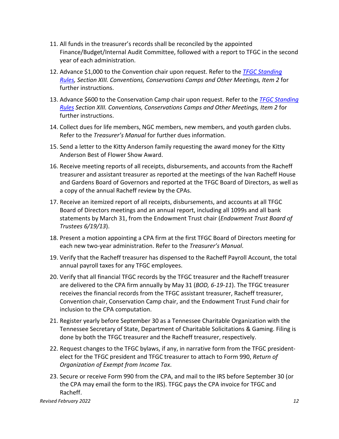- 11. All funds in the treasurer's records shall be reconciled by the appointed Finance/Budget/Internal Audit Committee, followed with a report to TFGC in the second year of each administration.
- 12. Advance \$1,000 to the Convention chair upon request. Refer to the *TFGC [Standing](https://www.tngardenclubs.org/wp-content/uploads/2021/03/TFGC-Standing-Rules-May-2022.pdf)  [Rules,](https://www.tngardenclubs.org/wp-content/uploads/2021/03/TFGC-Standing-Rules-May-2022.pdf) Section XIII. Conventions, Conservations Camps and Other Meetings, Item 2* for further instructions.
- 13. Advance \$600 to the Conservation Camp chair upon request. Refer to the *TFGC [Standing](https://www.tngardenclubs.org/wp-content/uploads/2021/03/TFGC-Standing-Rules-May-2022.pdf)  [Rules](https://www.tngardenclubs.org/wp-content/uploads/2021/03/TFGC-Standing-Rules-May-2022.pdf) Section XIII. Conventions, Conservations Camps and Other Meetings, Item 2* for further instructions.
- 14. Collect dues for life members, NGC members, new members, and youth garden clubs. Refer to the *Treasurer's Manual* for further dues information.
- 15. Send a letter to the Kitty Anderson family requesting the award money for the Kitty Anderson Best of Flower Show Award.
- 16. Receive meeting reports of all receipts, disbursements, and accounts from the Racheff treasurer and assistant treasurer as reported at the meetings of the Ivan Racheff House and Gardens Board of Governors and reported at the TFGC Board of Directors, as well as a copy of the annual Racheff review by the CPAs.
- 17. Receive an itemized report of all receipts, disbursements, and accounts at all TFGC Board of Directors meetings and an annual report, including all 1099s and all bank statements by March 31, from the Endowment Trust chair (*Endowment Trust Board of Trustees 6/19/13*).
- 18. Present a motion appointing a CPA firm at the first TFGC Board of Directors meeting for each new two-year administration. Refer to the *Treasurer's Manual*.
- 19. Verify that the Racheff treasurer has dispensed to the Racheff Payroll Account, the total annual payroll taxes for any TFGC employees.
- 20. Verify that all financial TFGC records by the TFGC treasurer and the Racheff treasurer are delivered to the CPA firm annually by May 31 (*BOD, 6-19-11*). The TFGC treasurer receives the financial records from the TFGC assistant treasurer, Racheff treasurer, Convention chair, Conservation Camp chair, and the Endowment Trust Fund chair for inclusion to the CPA computation.
- 21. Register yearly before September 30 as a Tennessee Charitable Organization with the Tennessee Secretary of State, Department of Charitable Solicitations & Gaming. Filing is done by both the TFGC treasurer and the Racheff treasurer, respectively.
- 22. Request changes to the TFGC bylaws, if any, in narrative form from the TFGC presidentelect for the TFGC president and TFGC treasurer to attach to Form 990, *Return of Organization of Exempt from Income Tax*.
- 23. Secure or receive Form 990 from the CPA, and mail to the IRS before September 30 (or the CPA may email the form to the IRS). TFGC pays the CPA invoice for TFGC and Racheff.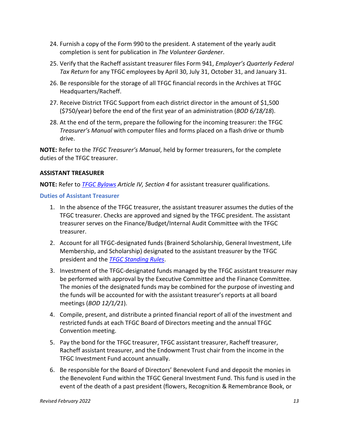- 24. Furnish a copy of the Form 990 to the president. A statement of the yearly audit completion is sent for publication in *The Volunteer Gardener*.
- 25. Verify that the Racheff assistant treasurer files Form 941, *Employer's Quarterly Federal Tax Return* for any TFGC employees by April 30, July 31, October 31, and January 31.
- 26. Be responsible for the storage of all TFGC financial records in the Archives at TFGC Headquarters/Racheff.
- 27. Receive District TFGC Support from each district director in the amount of \$1,500 (\$750/year) before the end of the first year of an administration (*BOD 6/18/18*).
- 28. At the end of the term, prepare the following for the incoming treasurer: the TFGC *Treasurer's Manual* with computer files and forms placed on a flash drive or thumb drive.

**NOTE:** Refer to the *TFGC Treasurer's Manual*, held by former treasurers, for the complete duties of the TFGC treasurer.

#### <span id="page-13-0"></span>**ASSISTANT TREASURER**

**NOTE:** Refer to *TFGC [Bylaws](https://www.tngardenclubs.org/wp-content/uploads/2021/03/Bylaws-2022-with-TFGC.pdf) Article IV, Section 4* for assistant treasurer qualifications.

#### <span id="page-13-1"></span>**Duties of Assistant Treasurer**

- 1. In the absence of the TFGC treasurer, the assistant treasurer assumes the duties of the TFGC treasurer. Checks are approved and signed by the TFGC president. The assistant treasurer serves on the Finance/Budget/Internal Audit Committee with the TFGC treasurer.
- 2. Account for all TFGC-designated funds (Brainerd Scholarship, General Investment, Life Membership, and Scholarship) designated to the assistant treasurer by the TFGC president and the *[TFGC Standing Rules](https://www.tngardenclubs.org/wp-content/uploads/2021/03/TFGC-Standing-Rules-May-2022.pdf)*.
- 3. Investment of the TFGC-designated funds managed by the TFGC assistant treasurer may be performed with approval by the Executive Committee and the Finance Committee. The monies of the designated funds may be combined for the purpose of investing and the funds will be accounted for with the assistant treasurer's reports at all board meetings (*BOD 12/1/21*).
- 4. Compile, present, and distribute a printed financial report of all of the investment and restricted funds at each TFGC Board of Directors meeting and the annual TFGC Convention meeting.
- 5. Pay the bond for the TFGC treasurer, TFGC assistant treasurer, Racheff treasurer, Racheff assistant treasurer, and the Endowment Trust chair from the income in the TFGC Investment Fund account annually.
- 6. Be responsible for the Board of Directors' Benevolent Fund and deposit the monies in the Benevolent Fund within the TFGC General Investment Fund. This fund is used in the event of the death of a past president (flowers, Recognition & Remembrance Book, or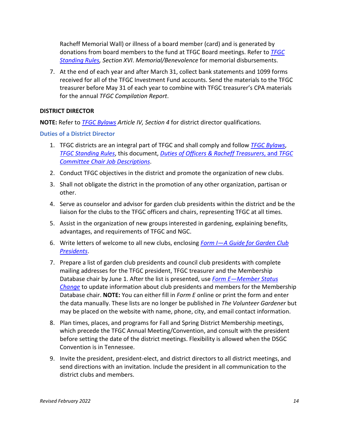Racheff Memorial Wall) or illness of a board member (card) and is generated by donations from board members to the fund at TFGC Board meetings. Refer to *[TFGC](https://www.tngardenclubs.org/wp-content/uploads/2021/03/TFGC-Standing-Rules-May-2022.pdf) [Standing Rules,](https://www.tngardenclubs.org/wp-content/uploads/2021/03/TFGC-Standing-Rules-May-2022.pdf) Section XVI*. *Memorial/Benevolence* for memorial disbursements.

7. At the end of each year and after March 31, collect bank statements and 1099 forms received for all of the TFGC Investment Fund accounts. Send the materials to the TFGC treasurer before May 31 of each year to combine with TFGC treasurer's CPA materials for the annual *TFGC Compilation Report*.

#### <span id="page-14-0"></span>**DISTRICT DIRECTOR**

**NOTE:** Refer to *TFGC [Bylaws](https://www.tngardenclubs.org/wp-content/uploads/2021/03/Bylaws-2022-with-TFGC.pdf) Article IV, Section 4* for district director qualifications.

<span id="page-14-1"></span>**Duties of a District Director**

- 1. TFGC districts are an integral part of TFGC and shall comply and follow *TFGC [Bylaws](https://www.tngardenclubs.org/wp-content/uploads/2021/03/Bylaws-2022-with-TFGC.pdf)*, *[TFGC Standing Rules](https://www.tngardenclubs.org/wp-content/uploads/2021/03/TFGC-Standing-Rules-May-2022.pdf)*, this document, *Duties of [Officers & Racheff Treasurers](https://www.tngardenclubs.org/governance-docs/)*, and *TFGC [Committee Chair Job Descriptions](https://www.tngardenclubs.org/governance-docs/)*.
- 2. Conduct TFGC objectives in the district and promote the organization of new clubs.
- 3. Shall not obligate the district in the promotion of any other organization, partisan or other.
- 4. Serve as counselor and advisor for garden club presidents within the district and be the liaison for the clubs to the TFGC officers and chairs, representing TFGC at all times.
- 5. Assist in the organization of new groups interested in gardening, explaining benefits, advantages, and requirements of TFGC and NGC.
- 6. Write letters of welcome to all new clubs, enclosing *[Form I—A Guide for](https://www.tngardenclubs.org/wp-content/uploads/2022/01/Form-I-Guide-for-Club-Presidents-1.pdf) Garden Club [Presidents](https://www.tngardenclubs.org/wp-content/uploads/2022/01/Form-I-Guide-for-Club-Presidents-1.pdf)*.
- 7. Prepare a list of garden club presidents and council club presidents with complete mailing addresses for the TFGC president, TFGC treasurer and the Membership Database chair by June 1. After the list is presented, use *[Form E—Member Status](https://www.tngardenclubs.org/forms/)  [Change](https://www.tngardenclubs.org/forms/)* to update information about club presidents and members for the Membership Database chair. **NOTE:** You can either fill in *Form E* online or print the form and enter the data manually. These lists are no longer be published in *The Volunteer Gardener* but may be placed on the website with name, phone, city, and email contact information.
- 8. Plan times, places, and programs for Fall and Spring District Membership meetings, which precede the TFGC Annual Meeting/Convention, and consult with the president before setting the date of the district meetings. Flexibility is allowed when the DSGC Convention is in Tennessee.
- 9. Invite the president, president-elect, and district directors to all district meetings, and send directions with an invitation. Include the president in all communication to the district clubs and members.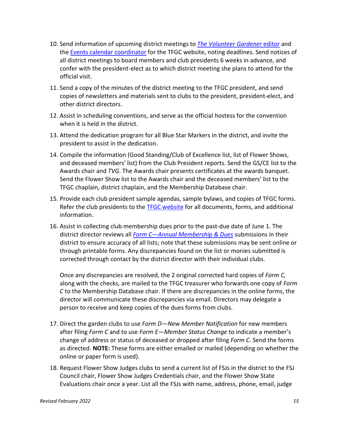- 10. Send information of upcoming district meetings to *[The Volunteer Gardener](mailto:annekrekelberg@reagan.com)* editor and the [Events calendar coordinator](mailto:nagoodrich@gmail.com) for the TFGC website, noting deadlines. Send notices of all district meetings to board members and club presidents 6 weeks in advance, and confer with the president-elect as to which district meeting she plans to attend for the official visit.
- 11. Send a copy of the minutes of the district meeting to the TFGC president, and send copies of newsletters and materials sent to clubs to the president, president-elect, and other district directors.
- 12. Assist in scheduling conventions, and serve as the official hostess for the convention when it is held in the district.
- 13. Attend the dedication program for all Blue Star Markers in the district, and invite the president to assist in the dedication.
- 14. Compile the information (Good Standing/Club of Excellence list, list of Flower Shows, and deceased members' list) from the Club President reports. Send the GS/CE list to the Awards chair and *TVG*. The Awards chair presents certificates at the awards banquet. Send the Flower Show list to the Awards chair and the deceased members' list to the TFGC chaplain, district chaplain, and the Membership Database chair.
- 15. Provide each club president sample agendas, sample bylaws, and copies of TFGC forms. Refer the club presidents to the **TFGC [website](https://www.tngardenclubs.org/)** for all documents, forms, and additional information.
- 16. Assist in collecting club membership dues prior to the past-due date of June 1. The district director reviews all *[Form C—Annual Membership & Dues](https://www.tngardenclubs.org/forms/)* submissions in their district to ensure accuracy of all lists; note that these submissions may be sent online or through printable forms. Any discrepancies found on the list or monies submitted is corrected through contact by the district director with their individual clubs.

Once any discrepancies are resolved, the 2 original corrected hard copies of *Form C,* along with the checks, are mailed to the TFGC treasurer who forwards one copy of *Form C* to the Membership Database chair. If there are discrepancies in the online forms, the director will communicate these discrepancies via email. Directors may delegate a person to receive and keep copies of the dues forms from clubs.

- 17. Direct the garden clubs to use *Form D—New Member Notification* for new members after filing *Form C* and to use *Form E—Member Status Change* to indicate a member's change of address or status of deceased or dropped after filing *Form C*. Send the forms as directed. **NOTE:** These forms are either emailed or mailed (depending on whether the online or paper form is used).
- 18. Request Flower Show Judges clubs to send a current list of FSJs in the district to the FSJ Council chair, Flower Show Judges Credentials chair, and the Flower Show State Evaluations chair once a year. List all the FSJs with name, address, phone, email, judge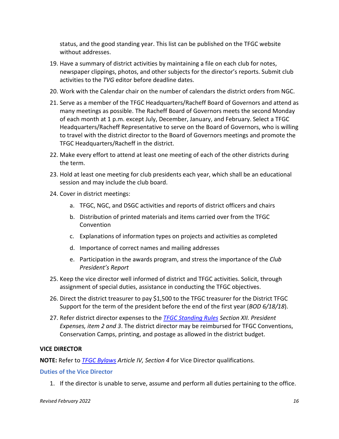status, and the good standing year. This list can be published on the TFGC website without addresses.

- 19. Have a summary of district activities by maintaining a file on each club for notes, newspaper clippings, photos, and other subjects for the director's reports. Submit club activities to the *TVG* editor before deadline dates.
- 20. Work with the Calendar chair on the number of calendars the district orders from NGC.
- 21. Serve as a member of the TFGC Headquarters/Racheff Board of Governors and attend as many meetings as possible. The Racheff Board of Governors meets the second Monday of each month at 1 p.m. except July, December, January, and February. Select a TFGC Headquarters/Racheff Representative to serve on the Board of Governors, who is willing to travel with the district director to the Board of Governors meetings and promote the TFGC Headquarters/Racheff in the district.
- 22. Make every effort to attend at least one meeting of each of the other districts during the term.
- 23. Hold at least one meeting for club presidents each year, which shall be an educational session and may include the club board.
- 24. Cover in district meetings:
	- a. TFGC, NGC, and DSGC activities and reports of district officers and chairs
	- b. Distribution of printed materials and items carried over from the TFGC Convention
	- c. Explanations of information types on projects and activities as completed
	- d. Importance of correct names and mailing addresses
	- e. Participation in the awards program, and stress the importance of the *Club President's Report*
- 25. Keep the vice director well informed of district and TFGC activities. Solicit, through assignment of special duties, assistance in conducting the TFGC objectives.
- 26. Direct the district treasurer to pay \$1,500 to the TFGC treasurer for the District TFGC Support for the term of the president before the end of the first year (*BOD 6/18/18*).
- 27. Refer district director expenses to the *TFGC [Standing Rules](https://www.tngardenclubs.org/wp-content/uploads/2021/03/TFGC-Standing-Rules-May-2022.pdf) Section XII. President Expenses, item 2 and 3*. The district director may be reimbursed for TFGC Conventions, Conservation Camps, printing, and postage as allowed in the district budget.

#### <span id="page-16-0"></span>**VICE DIRECTOR**

**NOTE:** Refer to *TFGC [Bylaws](https://www.tngardenclubs.org/wp-content/uploads/2021/03/Bylaws-2022-with-TFGC.pdf) Article IV, Section 4* for Vice Director qualifications.

#### <span id="page-16-1"></span>**Duties of the Vice Director**

1. If the director is unable to serve, assume and perform all duties pertaining to the office.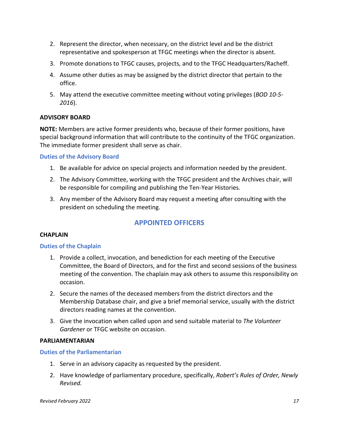- 2. Represent the director, when necessary, on the district level and be the district representative and spokesperson at TFGC meetings when the director is absent.
- 3. Promote donations to TFGC causes, projects, and to the TFGC Headquarters/Racheff.
- 4. Assume other duties as may be assigned by the district director that pertain to the office.
- 5. May attend the executive committee meeting without voting privileges (*BOD 10-5- 2016*).

## <span id="page-17-0"></span>**ADVISORY BOARD**

**NOTE:** Members are active former presidents who, because of their former positions, have special background information that will contribute to the continuity of the TFGC organization. The immediate former president shall serve as chair.

#### <span id="page-17-1"></span>**Duties of the Advisory Board**

- 1. Be available for advice on special projects and information needed by the president.
- 2. The Advisory Committee, working with the TFGC president and the Archives chair, will be responsible for compiling and publishing the Ten-Year Histories.
- 3. Any member of the Advisory Board may request a meeting after consulting with the president on scheduling the meeting.

# **APPOINTED OFFICERS**

#### <span id="page-17-3"></span><span id="page-17-2"></span>**CHAPLAIN**

#### <span id="page-17-4"></span>**Duties of the Chaplain**

- 1. Provide a collect, invocation, and benediction for each meeting of the Executive Committee, the Board of Directors, and for the first and second sessions of the business meeting of the convention. The chaplain may ask others to assume this responsibility on occasion.
- 2. Secure the names of the deceased members from the district directors and the Membership Database chair, and give a brief memorial service, usually with the district directors reading names at the convention.
- 3. Give the invocation when called upon and send suitable material to *The Volunteer Gardener* or TFGC website on occasion.

#### <span id="page-17-5"></span>**PARLIAMENTARIAN**

#### <span id="page-17-6"></span>**Duties of the Parliamentarian**

- 1. Serve in an advisory capacity as requested by the president.
- 2. Have knowledge of parliamentary procedure, specifically, *Robert's Rules of Order, Newly Revised.*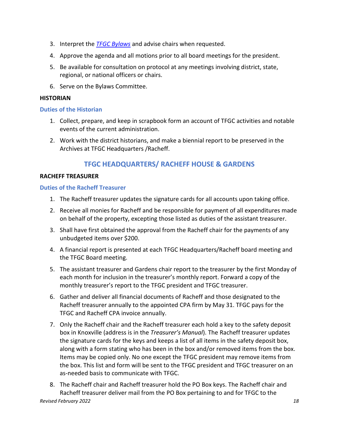- 3. Interpret the *TFGC [Bylaws](https://www.tngardenclubs.org/wp-content/uploads/2021/03/Bylaws-2022-with-TFGC.pdf)* and advise chairs when requested.
- 4. Approve the agenda and all motions prior to all board meetings for the president.
- 5. Be available for consultation on protocol at any meetings involving district, state, regional, or national officers or chairs.
- 6. Serve on the Bylaws Committee.

#### <span id="page-18-0"></span>**HISTORIAN**

#### <span id="page-18-1"></span>**Duties of the Historian**

- 1. Collect, prepare, and keep in scrapbook form an account of TFGC activities and notable events of the current administration.
- 2. Work with the district historians, and make a biennial report to be preserved in the Archives at TFGC Headquarters /Racheff.

# **TFGC HEADQUARTERS/ RACHEFF HOUSE & GARDENS**

#### <span id="page-18-3"></span><span id="page-18-2"></span>**RACHEFF TREASURER**

#### <span id="page-18-4"></span>**Duties of the Racheff Treasurer**

- 1. The Racheff treasurer updates the signature cards for all accounts upon taking office.
- 2. Receive all monies for Racheff and be responsible for payment of all expenditures made on behalf of the property, excepting those listed as duties of the assistant treasurer.
- 3. Shall have first obtained the approval from the Racheff chair for the payments of any unbudgeted items over \$200.
- 4. A financial report is presented at each TFGC Headquarters/Racheff board meeting and the TFGC Board meeting.
- 5. The assistant treasurer and Gardens chair report to the treasurer by the first Monday of each month for inclusion in the treasurer's monthly report. Forward a copy of the monthly treasurer's report to the TFGC president and TFGC treasurer.
- 6. Gather and deliver all financial documents of Racheff and those designated to the Racheff treasurer annually to the appointed CPA firm by May 31. TFGC pays for the TFGC and Racheff CPA invoice annually.
- 7. Only the Racheff chair and the Racheff treasurer each hold a key to the safety deposit box in Knoxville (address is in the *Treasurer's Manual*). The Racheff treasurer updates the signature cards for the keys and keeps a list of all items in the safety deposit box, along with a form stating who has been in the box and/or removed items from the box. Items may be copied only. No one except the TFGC president may remove items from the box. This list and form will be sent to the TFGC president and TFGC treasurer on an as-needed basis to communicate with TFGC.
- *Revised February 2022 18* 8. The Racheff chair and Racheff treasurer hold the PO Box keys. The Racheff chair and Racheff treasurer deliver mail from the PO Box pertaining to and for TFGC to the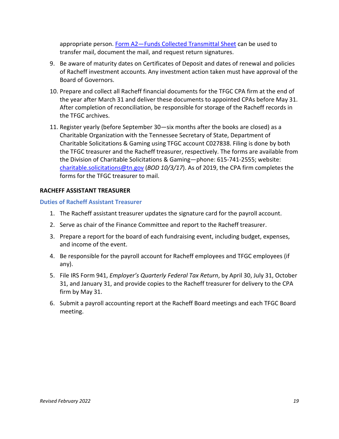appropriate person. [Form A2—Funds Collected](https://www.tngardenclubs.org/wp-content/uploads/2022/01/A2-Funds-Collected-Transmittal-Sheet-1.pdf) Transmittal Sheet can be used to transfer mail, document the mail, and request return signatures.

- 9. Be aware of maturity dates on Certificates of Deposit and dates of renewal and policies of Racheff investment accounts. Any investment action taken must have approval of the Board of Governors.
- 10. Prepare and collect all Racheff financial documents for the TFGC CPA firm at the end of the year after March 31 and deliver these documents to appointed CPAs before May 31. After completion of reconciliation, be responsible for storage of the Racheff records in the TFGC archives.
- 11. Register yearly (before September 30—six months after the books are closed) as a Charitable Organization with the Tennessee Secretary of State, Department of Charitable Solicitations & Gaming using TFGC account C027838. Filing is done by both the TFGC treasurer and the Racheff treasurer, respectively. The forms are available from the Division of Charitable Solicitations & Gaming—phone: 615-741-2555; website: [charitable.solicitations@tn.gov](mailto:charitable.solicitations@tn.gov) (*BOD 10/3/17*). As of 2019, the CPA firm completes the forms for the TFGC treasurer to mail.

#### <span id="page-19-0"></span>**RACHEFF ASSISTANT TREASURER**

#### <span id="page-19-1"></span>**Duties of Racheff Assistant Treasurer**

- 1. The Racheff assistant treasurer updates the signature card for the payroll account.
- 2. Serve as chair of the Finance Committee and report to the Racheff treasurer.
- 3. Prepare a report for the board of each fundraising event, including budget, expenses, and income of the event.
- 4. Be responsible for the payroll account for Racheff employees and TFGC employees (if any).
- 5. File IRS Form 941, *Employer's Quarterly Federal Tax Return*, by April 30, July 31, October 31, and January 31, and provide copies to the Racheff treasurer for delivery to the CPA firm by May 31.
- 6. Submit a payroll accounting report at the Racheff Board meetings and each TFGC Board meeting.